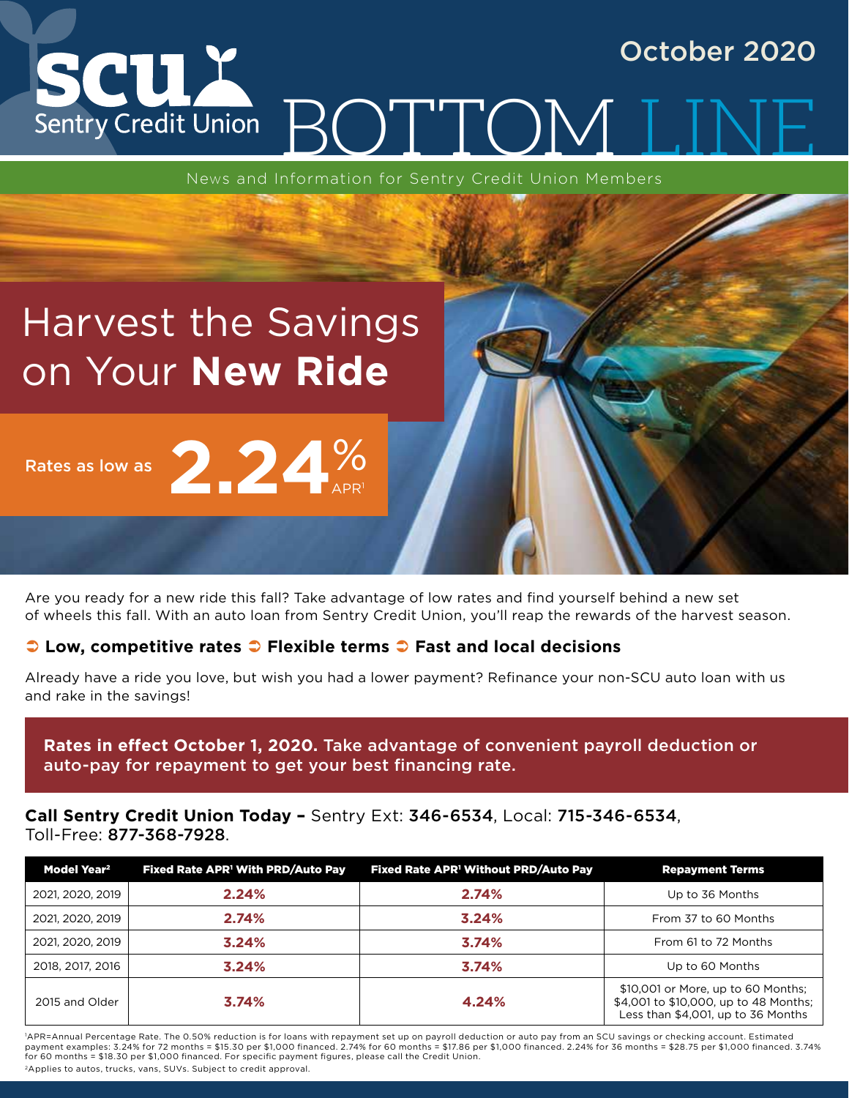### SCUX October 2020 BOTTOM Sentry Credit Union

News and Information for Sentry Credit Union Members

# Harvest the Savings on Your **New Ride**

Rates as low as



Are you ready for a new ride this fall? Take advantage of low rates and find yourself behind a new set of wheels this fall. With an auto loan from Sentry Credit Union, you'll reap the rewards of the harvest season.

### 2 Low, competitive rates 2 Flexible terms 2 Fast and local decisions

Already have a ride you love, but wish you had a lower payment? Refinance your non-SCU auto loan with us and rake in the savings!

**Rates in effect October 1, 2020.** Take advantage of convenient payroll deduction or auto-pay for repayment to get your best financing rate.

**Call Sentry Credit Union Today –** Sentry Ext: 346-6534, Local: 715-346-6534, Toll-Free: 877-368-7928.

| Model Year <sup>2</sup> | Fixed Rate APR <sup>1</sup> With PRD/Auto Pay | Fixed Rate APR <sup>1</sup> Without PRD/Auto Pay | <b>Repayment Terms</b>                                                                                            |
|-------------------------|-----------------------------------------------|--------------------------------------------------|-------------------------------------------------------------------------------------------------------------------|
| 2021, 2020, 2019        | 2.24%                                         | 2.74%                                            | Up to 36 Months                                                                                                   |
| 2021, 2020, 2019        | 2.74%                                         | 3.24%                                            | From 37 to 60 Months                                                                                              |
| 2021, 2020, 2019        | 3.24%                                         | 3.74%                                            | From 61 to 72 Months                                                                                              |
| 2018, 2017, 2016        | 3.24%                                         | 3.74%                                            | Up to 60 Months                                                                                                   |
| 2015 and Older          | 3.74%                                         | 4.24%                                            | \$10,001 or More, up to 60 Months;<br>\$4,001 to \$10,000, up to 48 Months;<br>Less than \$4,001, up to 36 Months |

1 APR=Annual Percentage Rate. The 0.50% reduction is for loans with repayment set up on payroll deduction or auto pay from an SCU savings or checking account. Estimated payment examples: 3.24% for 72 months = \$15.30 per \$1,000 financed. 2.74% for 60 months = \$17.86 per \$1,000 financed. 2.24% for 36 months = \$28.75 per \$1,000 financed. 3.74% for 60 months = \$18.30 per \$1,000 financed. For specific payment figures, please call the Credit Union.

2Applies to autos, trucks, vans, SUVs. Subject to credit approval.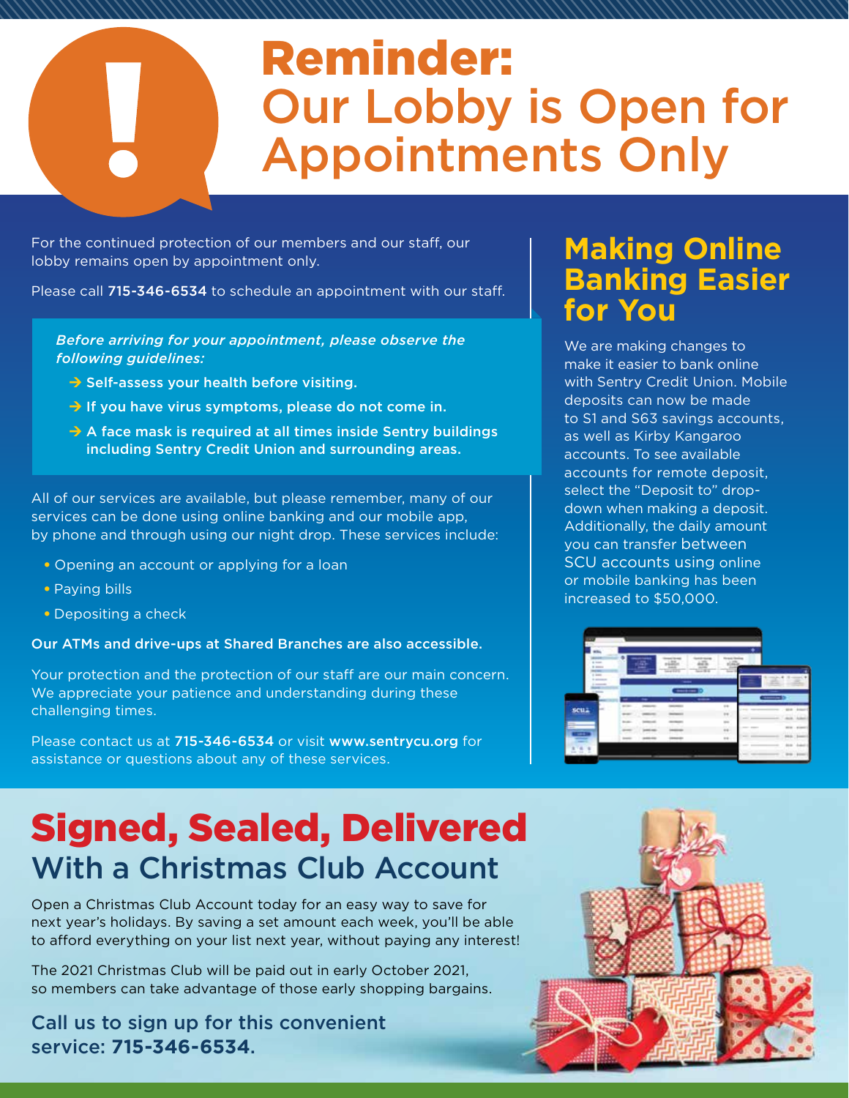# Reminder: Our Lobby is Open for Appointments Only

For the continued protection of our members and our staff, our lobby remains open by appointment only.

Please call 715-346-6534 to schedule an appointment with our staff.

### *Before arriving for your appointment, please observe the following guidelines:*

- $\rightarrow$  Self-assess your health before visiting.
- $\rightarrow$  If you have virus symptoms, please do not come in.
- $\rightarrow$  A face mask is required at all times inside Sentry buildings including Sentry Credit Union and surrounding areas.

All of our services are available, but please remember, many of our services can be done using online banking and our mobile app, by phone and through using our night drop. These services include:

- Opening an account or applying for a loan
- Paying bills
- Depositing a check

Our ATMs and drive-ups at Shared Branches are also accessible.

Your protection and the protection of our staff are our main concern. We appreciate your patience and understanding during these challenging times.

Please contact us at 715-346-6534 or visit www.sentrycu.org for assistance or questions about any of these services.

## Signed, Sealed, Delivered With a Christmas Club Account

Open a Christmas Club Account today for an easy way to save for next year's holidays. By saving a set amount each week, you'll be able to afford everything on your list next year, without paying any interest!

The 2021 Christmas Club will be paid out in early October 2021, so members can take advantage of those early shopping bargains.

Call us to sign up for this convenient service: **715-346-6534**.

### **Making Online Banking Easier for You**

We are making changes to make it easier to bank online with Sentry Credit Union. Mobile deposits can now be made to S1 and S63 savings accounts, as well as Kirby Kangaroo accounts. To see available accounts for remote deposit, select the "Deposit to" dropdown when making a deposit. Additionally, the daily amount you can transfer between SCU accounts using online or mobile banking has been increased to \$50,000.



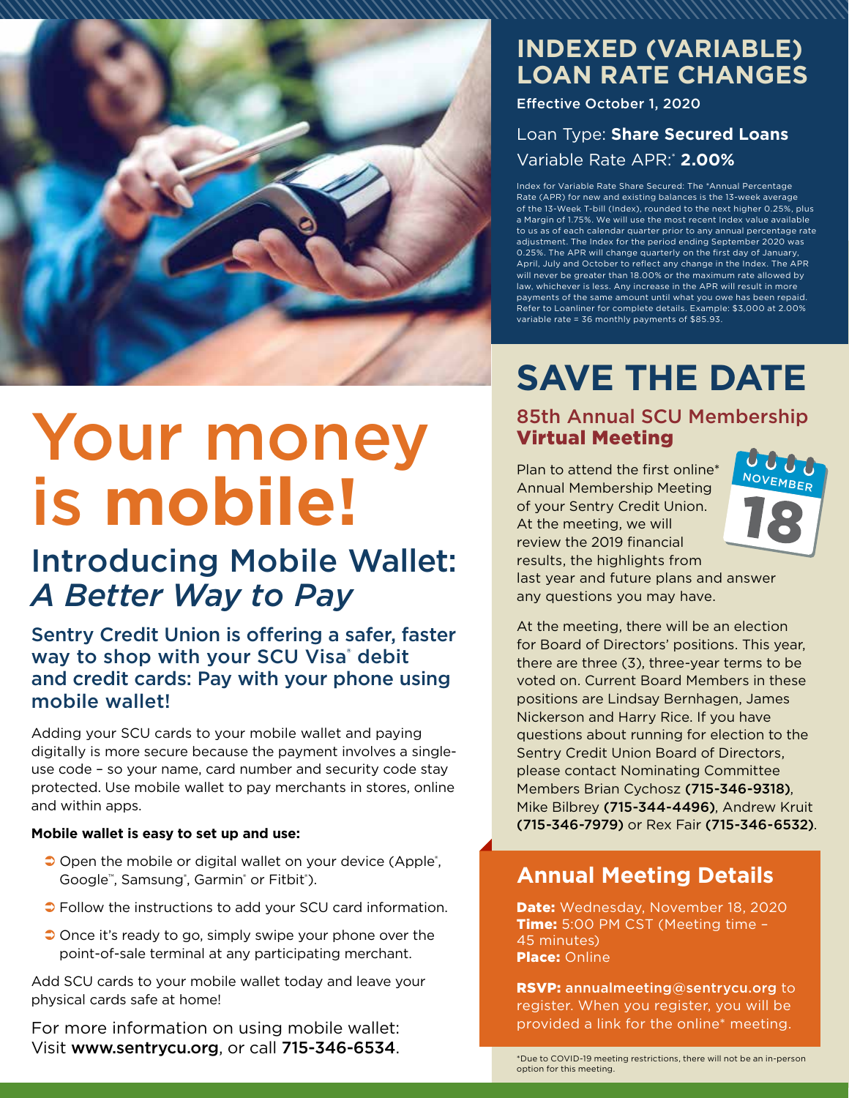

# Your money is **mobile!**

### Introducing Mobile Wallet: *A Better Way to Pay*

Sentry Credit Union is offering a safer, faster way to shop with your SCU Visa<sup>®</sup> debit and credit cards: Pay with your phone using mobile wallet!

Adding your SCU cards to your mobile wallet and paying digitally is more secure because the payment involves a singleuse code – so your name, card number and security code stay protected. Use mobile wallet to pay merchants in stores, online and within apps.

#### **Mobile wallet is easy to set up and use:**

- $\supset$  Open the mobile or digital wallet on your device (Apple<sup>®</sup>, Google™, Samsung®, Garmin® or Fitbit®).
- $\bullet$  Follow the instructions to add your SCU card information.
- $\supset$  Once it's ready to go, simply swipe your phone over the point-of-sale terminal at any participating merchant.

Add SCU cards to your mobile wallet today and leave your physical cards safe at home!

For more information on using mobile wallet:  $V$ isit www.sentrycu.org, or call 715-346-6534.<br>\*Due to COVID-19 meeting restrictions, there will not be an in-person

### **INDEXED (VARIABLE) LOAN RATE CHANGES**

Effective October 1, 2020

### Loan Type: **Share Secured Loans** Variable Rate APR:\*  **2.00%**

Index for Variable Rate Share Secured: The \*Annual Percentage Rate (APR) for new and existing balances is the 13-week average of the 13-Week T-bill (Index), rounded to the next higher 0.25%, plus a Margin of 1.75%. We will use the most recent Index value available to us as of each calendar quarter prior to any annual percentage rate adjustment. The Index for the period ending September 2020 was 0.25%. The APR will change quarterly on the first day of January, April, July and October to reflect any change in the Index. The APR will never be greater than 18.00% or the maximum rate allowed by law, whichever is less. Any increase in the APR will result in more payments of the same amount until what you owe has been repaid. Refer to Loanliner for complete details. Example: \$3,000 at 2.00% variable rate = 36 monthly payments of \$85.93.

# **SAVE THE DATE**

### 85th Annual SCU Membership Virtual Meeting

Plan to attend the first online\* Annual Membership Meeting of your Sentry Credit Union. At the meeting, we will review the 2019 financial results, the highlights from



last year and future plans and answer any questions you may have.

At the meeting, there will be an election for Board of Directors' positions. This year, there are three (3), three-year terms to be voted on. Current Board Members in these positions are Lindsay Bernhagen, James Nickerson and Harry Rice. If you have questions about running for election to the Sentry Credit Union Board of Directors, please contact Nominating Committee Members Brian Cychosz (715-346-9318), Mike Bilbrey (715-344-4496), Andrew Kruit (715-346-7979) or Rex Fair (715-346-6532).

### **Annual Meeting Details**

Date: Wednesday, November 18, 2020 Time: 5:00 PM CST (Meeting time -45 minutes) **Place: Online** 

RSVP: annualmeeting@sentrycu.org to register. When you register, you will be provided a link for the online\* meeting.

option for this meeting.